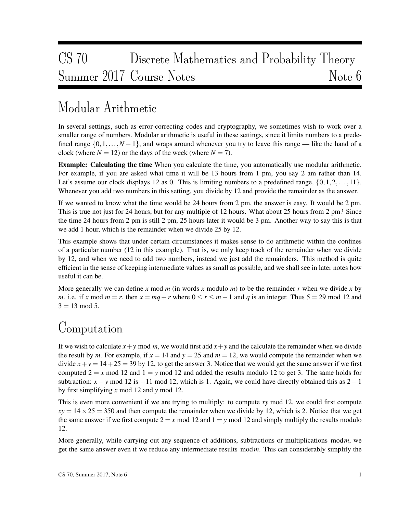# CS 70 Discrete Mathematics and Probability Theory Summer 2017 Course Notes Note 6

# Modular Arithmetic

In several settings, such as error-correcting codes and cryptography, we sometimes wish to work over a smaller range of numbers. Modular arithmetic is useful in these settings, since it limits numbers to a predefined range  $\{0,1,\ldots,N-1\}$ , and wraps around whenever you try to leave this range — like the hand of a clock (where  $N = 12$ ) or the days of the week (where  $N = 7$ ).

Example: Calculating the time When you calculate the time, you automatically use modular arithmetic. For example, if you are asked what time it will be 13 hours from 1 pm, you say 2 am rather than 14. Let's assume our clock displays 12 as 0. This is limiting numbers to a predefined range,  $\{0, 1, 2, \ldots, 11\}$ . Whenever you add two numbers in this setting, you divide by 12 and provide the remainder as the answer.

If we wanted to know what the time would be 24 hours from 2 pm, the answer is easy. It would be 2 pm. This is true not just for 24 hours, but for any multiple of 12 hours. What about 25 hours from 2 pm? Since the time 24 hours from 2 pm is still 2 pm, 25 hours later it would be 3 pm. Another way to say this is that we add 1 hour, which is the remainder when we divide 25 by 12.

This example shows that under certain circumstances it makes sense to do arithmetic within the confines of a particular number (12 in this example). That is, we only keep track of the remainder when we divide by 12, and when we need to add two numbers, instead we just add the remainders. This method is quite efficient in the sense of keeping intermediate values as small as possible, and we shall see in later notes how useful it can be.

More generally we can define x mod m (in words x modulo m) to be the remainder r when we divide x by *m*. i.e. if *x* mod  $m = r$ , then  $x = mq + r$  where  $0 \le r \le m - 1$  and *q* is an integer. Thus  $5 = 29$  mod 12 and  $3 = 13 \mod 5$ .

## Computation

If we wish to calculate  $x + y$  mod *m*, we would first add  $x + y$  and the calculate the remainder when we divide the result by *m*. For example, if  $x = 14$  and  $y = 25$  and  $m = 12$ , we would compute the remainder when we divide  $x + y = 14 + 25 = 39$  by 12, to get the answer 3. Notice that we would get the same answer if we first computed  $2 = x \text{ mod } 12$  and  $1 = y \text{ mod } 12$  and added the results modulo 12 to get 3. The same holds for subtraction:  $x - y$  mod 12 is −11 mod 12, which is 1. Again, we could have directly obtained this as  $2 - 1$ by first simplifying *x* mod 12 and *y* mod 12.

This is even more convenient if we are trying to multiply: to compute *xy* mod 12, we could first compute  $xy = 14 \times 25 = 350$  and then compute the remainder when we divide by 12, which is 2. Notice that we get the same answer if we first compute  $2 = x \text{ mod } 12$  and  $1 = y \text{ mod } 12$  and simply multiply the results modulo 12.

More generally, while carrying out any sequence of additions, subtractions or multiplications mod*m*, we get the same answer even if we reduce any intermediate results mod*m*. This can considerably simplify the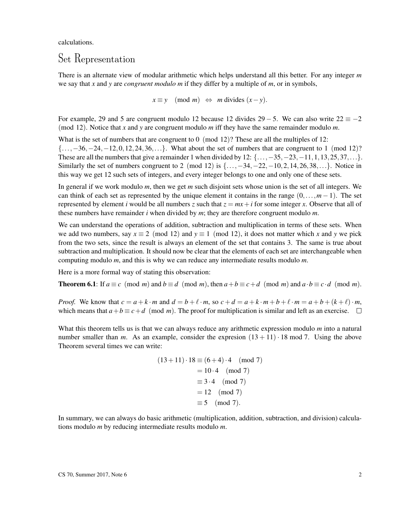calculations.

#### Set Representation

There is an alternate view of modular arithmetic which helps understand all this better. For any integer *m* we say that *x* and *y* are *congruent modulo m* if they differ by a multiple of *m*, or in symbols,

 $x \equiv y \pmod{m} \Leftrightarrow m \text{ divides } (x - y).$ 

For example, 29 and 5 are congruent modulo 12 because 12 divides  $29 - 5$ . We can also write  $22 \equiv -2$ (mod 12). Notice that *x* and *y* are congruent modulo *m* iff they have the same remainder modulo *m*.

What is the set of numbers that are congruent to  $0 \pmod{12}$ ? These are all the multiples of 12: {...,−36,−24,−12,0,12,24,36,...}. What about the set of numbers that are congruent to 1 (mod 12)? These are all the numbers that give a remainder 1 when divided by 12:  $\{\ldots, -35, -23, -11, 1, 13, 25, 37, \ldots\}$ . Similarly the set of numbers congruent to 2 (mod 12) is  $\{\ldots, -34, -22, -10, 2, 14, 26, 38, \ldots\}$ . Notice in this way we get 12 such sets of integers, and every integer belongs to one and only one of these sets.

In general if we work modulo *m*, then we get *m* such disjoint sets whose union is the set of all integers. We can think of each set as represented by the unique element it contains in the range  $(0, \ldots, m-1)$ . The set represented by element *i* would be all numbers *z* such that  $z = mx + i$  for some integer *x*. Observe that all of these numbers have remainder *i* when divided by *m*; they are therefore congruent modulo *m*.

We can understand the operations of addition, subtraction and multiplication in terms of these sets. When we add two numbers, say  $x \equiv 2 \pmod{12}$  and  $y \equiv 1 \pmod{12}$ , it does not matter which x and y we pick from the two sets, since the result is always an element of the set that contains 3. The same is true about subtraction and multiplication. It should now be clear that the elements of each set are interchangeable when computing modulo *m*, and this is why we can reduce any intermediate results modulo *m*.

Here is a more formal way of stating this observation:

**Theorem 6.1**: If  $a \equiv c \pmod{m}$  and  $b \equiv d \pmod{m}$ , then  $a + b \equiv c + d \pmod{m}$  and  $a \cdot b \equiv c \cdot d \pmod{m}$ .

*Proof.* We know that  $c = a + k \cdot m$  and  $d = b + \ell \cdot m$ , so  $c + d = a + k \cdot m + b + \ell \cdot m = a + b + (k + \ell) \cdot m$ . which means that  $a + b \equiv c + d \pmod{m}$ . The proof for multiplication is similar and left as an exercise.  $\Box$ 

What this theorem tells us is that we can always reduce any arithmetic expression modulo *m* into a natural number smaller than *m*. As an example, consider the expresion  $(13 + 11) \cdot 18 \text{ mod } 7$ . Using the above Theorem several times we can write:

$$
(13+11) \cdot 18 \equiv (6+4) \cdot 4 \pmod{7} \\
= 10 \cdot 4 \pmod{7} \\
\equiv 3 \cdot 4 \pmod{7} \\
= 12 \pmod{7} \\
\equiv 5 \pmod{7}.
$$

In summary, we can always do basic arithmetic (multiplication, addition, subtraction, and division) calculations modulo *m* by reducing intermediate results modulo *m*.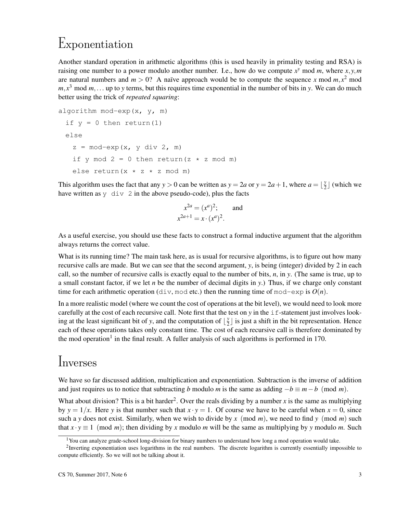# Exponentiation

Another standard operation in arithmetic algorithms (this is used heavily in primality testing and RSA) is raising one number to a power modulo another number. I.e., how do we compute  $x^y$  mod m, where  $x, y, m$ are natural numbers and  $m > 0$ ? A naïve approach would be to compute the sequence x mod  $m, x^2$  mod  $m, x<sup>3</sup>$  mod  $m, \ldots$  up to *y* terms, but this requires time exponential in the number of bits in *y*. We can do much better using the trick of *repeated squaring*:

```
algorithm mod-exp(x, y, m)
 if y = 0 then return(1)
 else
   z = mod-exp(x, y div 2, m)
   if y mod 2 = 0 then return(z * z mod m)
   else return(x \times z \times z mod m)
```
This algorithm uses the fact that any  $y > 0$  can be written as  $y = 2a$  or  $y = 2a + 1$ , where  $a = \frac{y}{2}$  $\frac{y}{2}$  (which we have written as  $y \,$  div 2 in the above pseudo-code), plus the facts

$$
x^{2a} = (x^a)^2
$$
; and  
 $x^{2a+1} = x \cdot (x^a)^2$ .

As a useful exercise, you should use these facts to construct a formal inductive argument that the algorithm always returns the correct value.

What is its running time? The main task here, as is usual for recursive algorithms, is to figure out how many recursive calls are made. But we can see that the second argument, *y*, is being (integer) divided by 2 in each call, so the number of recursive calls is exactly equal to the number of bits, *n*, in *y*. (The same is true, up to a small constant factor, if we let *n* be the number of decimal digits in *y*.) Thus, if we charge only constant time for each arithmetic operation (div, mod etc.) then the running time of mod-exp is  $O(n)$ .

In a more realistic model (where we count the cost of operations at the bit level), we would need to look more carefully at the cost of each recursive call. Note first that the test on *y* in the if-statement just involves looking at the least significant bit of *y*, and the computation of  $\frac{y}{2}$  $\frac{y}{2}$  is just a shift in the bit representation. Hence each of these operations takes only constant time. The cost of each recursive call is therefore dominated by the mod operation<sup>1</sup> in the final result. A fuller analysis of such algorithms is performed in 170.

## Inverses

We have so far discussed addition, multiplication and exponentiation. Subtraction is the inverse of addition and just requires us to notice that subtracting *b* modulo *m* is the same as adding  $-b \equiv m - b \pmod{m}$ .

What about division? This is a bit harder<sup>2</sup>. Over the reals dividing by a number  $x$  is the same as multiplying by  $y = 1/x$ . Here *y* is that number such that  $x \cdot y = 1$ . Of course we have to be careful when  $x = 0$ , since such a *y* does not exist. Similarly, when we wish to divide by *x* (mod *m*), we need to find *y* (mod *m*) such that  $x \cdot y \equiv 1 \pmod{m}$ ; then dividing by *x* modulo *m* will be the same as multiplying by *y* modulo *m*. Such

<sup>&</sup>lt;sup>1</sup>You can analyze grade-school long-division for binary numbers to understand how long a mod operation would take.

<sup>&</sup>lt;sup>2</sup>Inverting exponentiation uses logarithms in the real numbers. The discrete logarithm is currently essentially impossible to compute efficiently. So we will not be talking about it.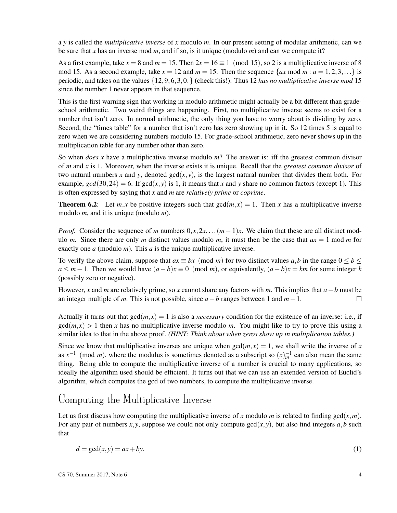a *y* is called the *multiplicative inverse* of *x* modulo *m*. In our present setting of modular arithmetic, can we be sure that *x* has an inverse mod *m*, and if so, is it unique (modulo *m*) and can we compute it?

As a first example, take  $x = 8$  and  $m = 15$ . Then  $2x = 16 \equiv 1 \pmod{15}$ , so 2 is a multiplicative inverse of 8 mod 15. As a second example, take  $x = 12$  and  $m = 15$ . Then the sequence  $\{ax \mod m : a = 1, 2, 3, ...\}$  is periodic, and takes on the values {12,9,6,3,0,} (check this!). Thus 12 *has no multiplicative inverse mod* 15 since the number 1 never appears in that sequence.

This is the first warning sign that working in modulo arithmetic might actually be a bit different than gradeschool arithmetic. Two weird things are happening. First, no multiplicative inverse seems to exist for a number that isn't zero. In normal arithmetic, the only thing you have to worry about is dividing by zero. Second, the "times table" for a number that isn't zero has zero showing up in it. So 12 times 5 is equal to zero when we are considering numbers modulo 15. For grade-school arithmetic, zero never shows up in the multiplication table for any number other than zero.

So when *does x* have a multiplicative inverse modulo *m*? The answer is: iff the greatest common divisor of *m* and *x* is 1. Moreover, when the inverse exists it is unique. Recall that the *greatest common divisor* of two natural numbers x and y, denoted  $gcd(x, y)$ , is the largest natural number that divides them both. For example,  $gcd(30,24) = 6$ . If  $gcd(x, y)$  is 1, it means that x and y share no common factors (except 1). This is often expressed by saying that *x* and *m* are *relatively prime* or *coprime*.

**Theorem 6.2:** Let *m*, *x* be positive integers such that  $gcd(m, x) = 1$ . Then *x* has a multiplicative inverse modulo *m*, and it is unique (modulo *m*).

*Proof.* Consider the sequence of *m* numbers  $0, x, 2x, \ldots$   $(m-1)x$ . We claim that these are all distinct modulo *m*. Since there are only *m* distinct values modulo *m*, it must then be the case that  $ax = 1$  mod *m* for exactly one *a* (modulo *m*). This *a* is the unique multiplicative inverse.

To verify the above claim, suppose that  $ax \equiv bx \pmod{m}$  for two distinct values *a*,*b* in the range  $0 \leq b \leq$ *a* ≤ *m*−1. Then we would have  $(a - b)x \equiv 0 \pmod{m}$ , or equivalently,  $(a - b)x = km$  for some integer *k* (possibly zero or negative).

However, *x* and *m* are relatively prime, so *x* cannot share any factors with *m*. This implies that *a*−*b* must be an integer multiple of *m*. This is not possible, since *a*−*b* ranges between 1 and *m*−1.  $\Box$ 

Actually it turns out that  $gcd(m, x) = 1$  is also a *necessary* condition for the existence of an inverse: i.e., if  $gcd(m, x) > 1$  then x has no multiplicative inverse modulo m. You might like to try to prove this using a similar idea to that in the above proof. *(HINT: Think about when zeros show up in multiplication tables.)*

Since we know that multiplicative inverses are unique when  $gcd(m, x) = 1$ , we shall write the inverse of *x* as  $x^{-1}$  (mod *m*), where the modulus is sometimes denoted as a subscript so  $(x)^{-1}_{m}$  can also mean the same thing. Being able to compute the multiplicative inverse of a number is crucial to many applications, so ideally the algorithm used should be efficient. It turns out that we can use an extended version of Euclid's algorithm, which computes the gcd of two numbers, to compute the multiplicative inverse.

#### Computing the Multiplicative Inverse

Let us first discuss how computing the multiplicative inverse of x modulo m is related to finding  $gcd(x, m)$ . For any pair of numbers  $x, y$ , suppose we could not only compute  $gcd(x, y)$ , but also find integers  $a, b$  such that

$$
d = \gcd(x, y) = ax + by.\tag{1}
$$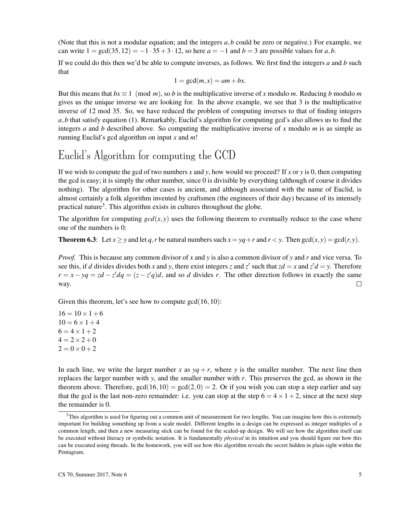(Note that this is not a modular equation; and the integers *a*,*b* could be zero or negative.) For example, we can write  $1 = \gcd(35, 12) = -1.35 + 3.12$ , so here  $a = -1$  and  $b = 3$  are possible values for a, b.

If we could do this then we'd be able to compute inverses, as follows. We first find the integers *a* and *b* such that

$$
1 = \gcd(m, x) = am + bx.
$$

But this means that  $bx \equiv 1 \pmod{m}$ , so *b* is the multiplicative inverse of *x* modulo *m*. Reducing *b* modulo *m* gives us the unique inverse we are looking for. In the above example, we see that 3 is the multiplicative inverse of 12 mod 35. So, we have reduced the problem of computing inverses to that of finding integers *a*,*b* that satisfy equation (1). Remarkably, Euclid's algorithm for computing gcd's also allows us to find the integers *a* and *b* described above. So computing the multiplicative inverse of *x* modulo *m* is as simple as running Euclid's gcd algorithm on input *x* and *m*!

### Euclid's Algorithm for computing the GCD

If we wish to compute the gcd of two numbers x and y, how would we proceed? If x or y is 0, then computing the gcd is easy; it is simply the other number, since 0 is divisible by everything (although of course it divides nothing). The algorithm for other cases is ancient, and although associated with the name of Euclid, is almost certainly a folk algorithm invented by craftsmen (the engineers of their day) because of its intensely practical nature<sup>3</sup>. This algorithm exists in cultures throughout the globe.

The algorithm for computing  $gcd(x, y)$  uses the following theorem to eventually reduce to the case where one of the numbers is 0:

**Theorem 6.3:** Let  $x > y$  and let *q*, *r* be natural numbers such  $x = yq + r$  and  $r < y$ . Then  $gcd(x, y) = gcd(r, y)$ .

*Proof.* This is because any common divisor of *x* and *y* is also a common divisor of *y* and *r* and vice versa. To see this, if *d* divides divides both *x* and *y*, there exist integers *z* and *z'* such that  $zd = x$  and  $z'd = y$ . Therefore  $r = x - yq = zd - z'dq = (z - z'q)d$ , and so *d* divides *r*. The other direction follows in exactly the same way.  $\Box$ 

Given this theorem, let's see how to compute  $gcd(16,10)$ :

 $16 = 10 \times 1 + 6$  $10 = 6 \times 1 + 4$  $6 = 4 \times 1 + 2$  $4 = 2 \times 2 + 0$  $2 = 0 \times 0 + 2$ 

In each line, we write the larger number *x* as  $yq + r$ , where *y* is the smaller number. The next line then replaces the larger number with *y*, and the smaller number with *r*. This preserves the gcd, as shown in the theorem above. Therefore,  $gcd(16, 10) = gcd(2, 0) = 2$ . Or if you wish you can stop a step earlier and say that the gcd is the last non-zero remainder: i.e. you can stop at the step  $6 = 4 \times 1 + 2$ , since at the next step the remainder is 0.

 $3$ This algorithm is used for figuring out a common unit of measurement for two lengths. You can imagine how this is extremely important for building something up from a scale model. Different lengths in a design can be expressed as integer multiples of a common length, and then a new measuring stick can be found for the scaled-up design. We will see how the algorithm itself can be executed without literacy or symbolic notation. It is fundamentally *physical* in its intuition and you should figure out how this can be executed using threads. In the homework, you will see how this algorithm reveals the secret hidden in plain sight within the Pentagram.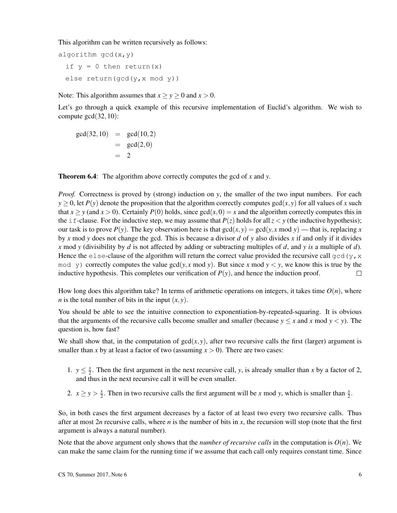This algorithm can be written recursively as follows:

algorithm  $gcd(x, y)$ if  $y = 0$  then return(x) else return(gcd(y,x mod y))

Note: This algorithm assumes that  $x \ge y \ge 0$  and  $x > 0$ .

Let's go through a quick example of this recursive implementation of Euclid's algorithm. We wish to compute gcd(32,10):

 $gcd(32, 10) = gcd(10, 2)$  $=$  gcd $(2,0)$  $= 2$ 

Theorem 6.4: The algorithm above correctly computes the gcd of *x* and *y*.

*Proof.* Correctness is proved by (strong) induction on *y*, the smaller of the two input numbers. For each  $y \ge 0$ , let *P*(*y*) denote the proposition that the algorithm correctly computes gcd(*x*, *y*) for all values of *x* such that  $x \ge y$  (and  $x > 0$ ). Certainly  $P(0)$  holds, since  $gcd(x, 0) = x$  and the algorithm correctly computes this in the i f-clause. For the inductive step, we may assume that  $P(z)$  holds for all  $z < y$  (the inductive hypothesis); our task is to prove  $P(y)$ . The key observation here is that  $gcd(x, y) = gcd(y, x \text{ mod } y)$  — that is, replacing *x* by *x* mod *y* does not change the gcd. This is because a divisor *d* of *y* also divides *x* if and only if it divides *x* mod *y* (divisibility by *d* is not affected by adding or subtracting multiples of *d*, and *y is* a multiple of *d*). Hence the else-clause of the algorithm will return the correct value provided the recursive call gcd(y, x mod y) correctly computes the value gcd( $y$ , *x* mod  $y$ ). But since *x* mod  $y < y$ , we know this is true by the inductive hypothesis. This completes our verification of  $P(y)$ , and hence the induction proof.  $\Box$ 

How long does this algorithm take? In terms of arithmetic operations on integers, it takes time  $O(n)$ , where *n* is the total number of bits in the input  $(x, y)$ .

You should be able to see the intuitive connection to exponentiation-by-repeated-squaring. It is obvious that the arguments of the recursive calls become smaller and smaller (because  $y \le x$  and  $x \text{ mod } y < y$ ). The question is, how fast?

We shall show that, in the computation of  $gcd(x, y)$ , after two recursive calls the first (larger) argument is smaller than *x* by at least a factor of two (assuming  $x > 0$ ). There are two cases:

- 1.  $y \leq \frac{x}{2}$  $\frac{x}{2}$ . Then the first argument in the next recursive call, *y*, is already smaller than *x* by a factor of 2, and thus in the next recursive call it will be even smaller.
- 2.  $x \ge y > \frac{x}{2}$  $\frac{x}{2}$ . Then in two recursive calls the first argument will be *x* mod *y*, which is smaller than  $\frac{x}{2}$ .

So, in both cases the first argument decreases by a factor of at least two every two recursive calls. Thus after at most  $2n$  recursive calls, where *n* is the number of bits in *x*, the recursion will stop (note that the first argument is always a natural number).

Note that the above argument only shows that the *number of recursive calls* in the computation is  $O(n)$ . We can make the same claim for the running time if we assume that each call only requires constant time. Since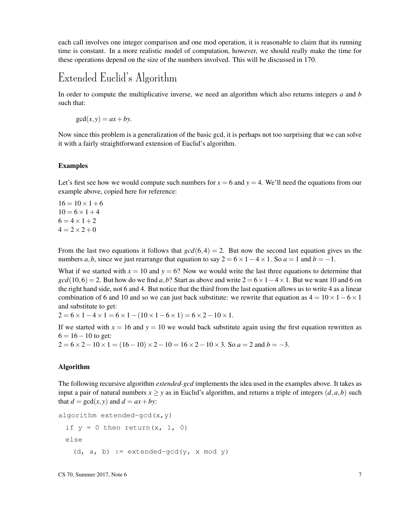each call involves one integer comparison and one mod operation, it is reasonable to claim that its running time is constant. In a more realistic model of computation, however, we should really make the time for these operations depend on the size of the numbers involved. This will be discussed in 170.

### Extended Euclid's Algorithm

In order to compute the multiplicative inverse, we need an algorithm which also returns integers *a* and *b* such that:

$$
\gcd(x, y) = ax + by.
$$

Now since this problem is a generalization of the basic gcd, it is perhaps not too surprising that we can solve it with a fairly straightforward extension of Euclid's algorithm.

#### Examples

Let's first see how we would compute such numbers for  $x = 6$  and  $y = 4$ . We'll need the equations from our example above, copied here for reference:

 $16 = 10 \times 1 + 6$  $10 = 6 \times 1 + 4$  $6 = 4 \times 1 + 2$  $4 = 2 \times 2 + 0$ 

From the last two equations it follows that  $gcd(6,4) = 2$ . But now the second last equation gives us the numbers *a*,*b*, since we just rearrange that equation to say  $2 = 6 \times 1 - 4 \times 1$ . So  $a = 1$  and  $b = -1$ .

What if we started with  $x = 10$  and  $y = 6$ ? Now we would write the last three equations to determine that  $gcd(10,6) = 2$ . But how do we find *a*,*b*? Start as above and write  $2 = 6 \times 1 - 4 \times 1$ . But we want 10 and 6 on the right hand side, not 6 and 4. But notice that the third from the last equation allows us to write 4 as a linear combination of 6 and 10 and so we can just back substitute: we rewrite that equation as  $4 = 10 \times 1 - 6 \times 1$ and substitute to get:

 $2 = 6 \times 1 - 4 \times 1 = 6 \times 1 - (10 \times 1 - 6 \times 1) = 6 \times 2 - 10 \times 1$ .

If we started with  $x = 16$  and  $y = 10$  we would back substitute again using the first equation rewritten as  $6 = 16 - 10$  to get:

 $2 = 6 \times 2 - 10 \times 1 = (16 - 10) \times 2 - 10 = 16 \times 2 - 10 \times 3$ . So  $a = 2$  and  $b = -3$ .

#### Algorithm

The following recursive algorithm *extended-gcd* implements the idea used in the examples above. It takes as input a pair of natural numbers  $x > y$  as in Euclid's algorithm, and returns a triple of integers  $(d, a, b)$  such that  $d = \gcd(x, y)$  and  $d = ax + by$ :

```
algorithm extended-gcd(x, y)if y = 0 then return(x, 1, 0)
 else
   (d, a, b) := extended-gcd(y, x mod y)
```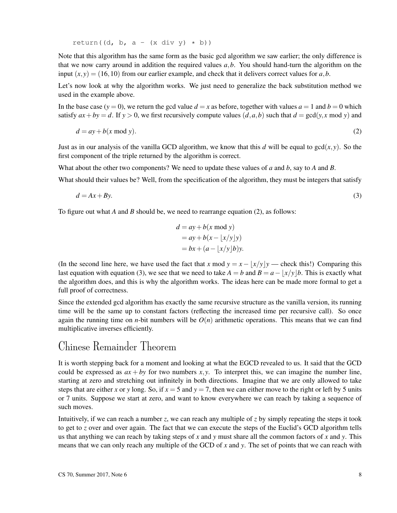return((d, b, a -  $(x \div y) * b)$ )

Note that this algorithm has the same form as the basic gcd algorithm we saw earlier; the only difference is that we now carry around in addition the required values *a*,*b*. You should hand-turn the algorithm on the input  $(x, y) = (16, 10)$  from our earlier example, and check that it delivers correct values for a, b.

Let's now look at why the algorithm works. We just need to generalize the back substitution method we used in the example above.

In the base case  $(y = 0)$ , we return the gcd value  $d = x$  as before, together with values  $a = 1$  and  $b = 0$  which satisfy  $ax + by = d$ . If  $y > 0$ , we first recursively compute values  $(d, a, b)$  such that  $d = \gcd(y, x \mod y)$  and

$$
d = ay + b(x \bmod y). \tag{2}
$$

Just as in our analysis of the vanilla GCD algorithm, we know that this *d* will be equal to  $gcd(x, y)$ . So the first component of the triple returned by the algorithm is correct.

What about the other two components? We need to update these values of *a* and *b*, say to *A* and *B*.

What should their values be? Well, from the specification of the algorithm, they must be integers that satisfy

$$
d = Ax + By.\tag{3}
$$

To figure out what *A* and *B* should be, we need to rearrange equation (2), as follows:

$$
d = ay + b(x \mod y)
$$
  
= ay + b(x - \lfloor x/y \rfloor y)  
= bx + (a - \lfloor x/y \rfloor b)y.

(In the second line here, we have used the fact that *x* mod  $y = x - |x/y|y$  — check this!) Comparing this last equation with equation (3), we see that we need to take  $A = b$  and  $B = a - |x/y|b$ . This is exactly what the algorithm does, and this is why the algorithm works. The ideas here can be made more formal to get a full proof of correctness.

Since the extended gcd algorithm has exactly the same recursive structure as the vanilla version, its running time will be the same up to constant factors (reflecting the increased time per recursive call). So once again the running time on *n*-bit numbers will be  $O(n)$  arithmetic operations. This means that we can find multiplicative inverses efficiently.

#### Chinese Remainder Theorem

It is worth stepping back for a moment and looking at what the EGCD revealed to us. It said that the GCD could be expressed as  $ax + by$  for two numbers  $x, y$ . To interpret this, we can imagine the number line, starting at zero and stretching out infinitely in both directions. Imagine that we are only allowed to take steps that are either *x* or *y* long. So, if  $x = 5$  and  $y = 7$ , then we can either move to the right or left by 5 units or 7 units. Suppose we start at zero, and want to know everywhere we can reach by taking a sequence of such moves.

Intuitively, if we can reach a number *z*, we can reach any multiple of *z* by simply repeating the steps it took to get to *z* over and over again. The fact that we can execute the steps of the Euclid's GCD algorithm tells us that anything we can reach by taking steps of *x* and *y* must share all the common factors of *x* and *y*. This means that we can only reach any multiple of the GCD of *x* and *y*. The set of points that we can reach with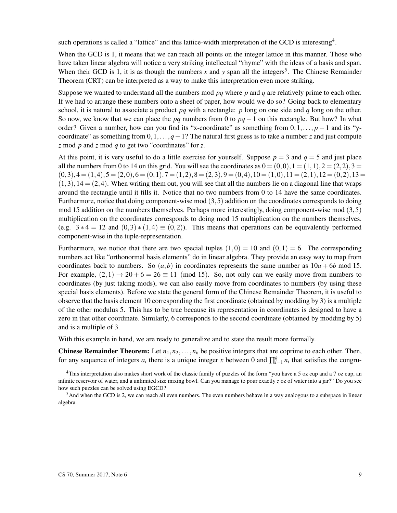such operations is called a "lattice" and this lattice-width interpretation of the GCD is interesting<sup>4</sup>.

When the GCD is 1, it means that we can reach all points on the integer lattice in this manner. Those who have taken linear algebra will notice a very striking intellectual "rhyme" with the ideas of a basis and span. When their GCD is 1, it is as though the numbers  $x$  and  $y$  span all the integers<sup>5</sup>. The Chinese Remainder Theorem (CRT) can be interpreted as a way to make this interpretation even more striking.

Suppose we wanted to understand all the numbers mod *pq* where *p* and *q* are relatively prime to each other. If we had to arrange these numbers onto a sheet of paper, how would we do so? Going back to elementary school, it is natural to associate a product  $pq$  with a rectangle:  $p$  long on one side and  $q$  long on the other. So now, we know that we can place the *pq* numbers from 0 to *pq*−1 on this rectangle. But how? In what order? Given a number, how can you find its "x-coordinate" as something from  $0,1,\ldots,p-1$  and its "ycoordinate" as something from  $0,1,\ldots,q-1$ ? The natural first guess is to take a number *z* and just compute *z* mod *p* and *z* mod *q* to get two "coordinates" for *z*.

At this point, it is very useful to do a little exercise for yourself. Suppose  $p = 3$  and  $q = 5$  and just place all the numbers from 0 to 14 on this grid. You will see the coordinates as  $0 = (0,0)$ ,  $1 = (1,1)$ ,  $2 = (2,2)$ ,  $3 =$  $(0,3),4 = (1,4),5 = (2,0),6 = (0,1),7 = (1,2),8 = (2,3),9 = (0,4),10 = (1,0),11 = (2,1),12 = (0,2),13 =$  $(1,3), 14 = (2,4)$ . When writing them out, you will see that all the numbers lie on a diagonal line that wraps around the rectangle until it fills it. Notice that no two numbers from 0 to 14 have the same coordinates. Furthermore, notice that doing component-wise mod (3,5) addition on the coordinates corresponds to doing mod 15 addition on the numbers themselves. Perhaps more interestingly, doing component-wise mod  $(3,5)$ multiplication on the coordinates corresponds to doing mod 15 multiplication on the numbers themselves. (e.g.  $3 * 4 = 12$  and  $(0,3) * (1,4) \equiv (0,2)$ ). This means that operations can be equivalently performed component-wise in the tuple-representation.

Furthermore, we notice that there are two special tuples  $(1,0) = 10$  and  $(0,1) = 6$ . The corresponding numbers act like "orthonormal basis elements" do in linear algebra. They provide an easy way to map from coordinates back to numbers. So  $(a, b)$  in coordinates represents the same number as  $10a + 6b$  mod 15. For example,  $(2,1) \rightarrow 20 + 6 = 26 \equiv 11 \pmod{15}$ . So, not only can we easily move from numbers to coordinates (by just taking mods), we can also easily move from coordinates to numbers (by using these special basis elements). Before we state the general form of the Chinese Remainder Theorem, it is useful to observe that the basis element 10 corresponding the first coordinate (obtained by modding by 3) is a multiple of the other modulus 5. This has to be true because its representation in coordinates is designed to have a zero in that other coordinate. Similarly, 6 corresponds to the second coordinate (obtained by modding by 5) and is a multiple of 3.

With this example in hand, we are ready to generalize and to state the result more formally.

**Chinese Remainder Theorem:** Let  $n_1, n_2, \ldots, n_k$  be positive integers that are coprime to each other. Then, for any sequence of integers  $a_i$  there is a unique integer *x* between 0 and  $\prod_{i=1}^{k} n_i$  that satisfies the congru-

<sup>4</sup>This interpretation also makes short work of the classic family of puzzles of the form "you have a 5 oz cup and a 7 oz cup, an infinite reservoir of water, and a unlimited size mixing bowl. Can you manage to pour exactly *z* oz of water into a jar?" Do you see how such puzzles can be solved using EGCD?

 $<sup>5</sup>$ And when the GCD is 2, we can reach all even numbers. The even numbers behave in a way analogous to a subspace in linear</sup> algebra.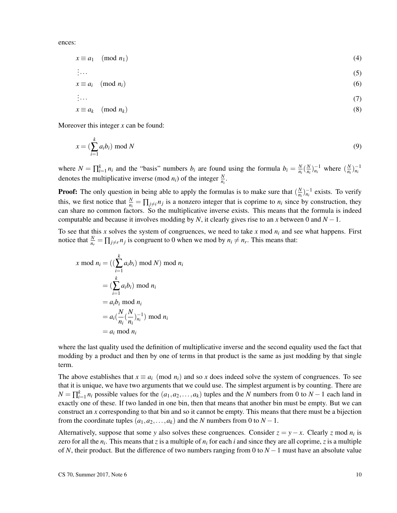ences:

$$
x \equiv a_1 \pmod{n_1} \tag{4}
$$

$$
\vdots \tag{5}
$$

$$
x \equiv a_i \pmod{n_i}
$$
 (6)

$$
\vdots \tag{7}
$$

$$
x \equiv a_k \pmod{n_k} \tag{8}
$$

Moreover this integer *x* can be found:

$$
x = \left(\sum_{i=1}^{k} a_i b_i\right) \bmod N
$$
\n<sup>(9)</sup>

where  $N = \prod_{i=1}^{k} n_i$  and the "basis" numbers  $b_i$  are found using the formula  $b_i = \frac{N}{n_i}$  $\frac{N}{n_i}$  ( $\frac{N}{n_i}$  $\frac{N}{n_i}$ ) $_{n_i}^{-1}$  where  $\left(\frac{N}{n_i}\right)$  $\frac{N}{n_i}$  $\Big)_{n_i}^{-1}$ denotes the multiplicative inverse (mod  $n_i$ ) of the integer  $\frac{N}{n_i}$ .

**Proof:** The only question in being able to apply the formulas is to make sure that  $\left(\frac{N}{n}\right)$  $(\frac{N}{n_i})_{n_i}^{-1}$  exists. To verify this, we first notice that  $\frac{N}{n_i} = \prod_{j \neq i} n_j$  is a nonzero integer that is coprime to  $n_i$  since by construction, they can share no common factors. So the multiplicative inverse exists. This means that the formula is indeed computable and because it involves modding by *N*, it clearly gives rise to an *x* between 0 and  $N - 1$ .

To see that this *x* solves the system of congruences, we need to take *x* mod *n<sup>i</sup>* and see what happens. First notice that  $\frac{N}{n_r} = \prod_{j \neq r} n_j$  is congruent to 0 when we mod by  $n_i \neq n_r$ . This means that:

$$
x \bmod n_i = \left( \left( \sum_{i=1}^k a_i b_i \right) \bmod N \right) \bmod n_i
$$
  
= 
$$
\left( \sum_{i=1}^k a_i b_i \right) \bmod n_i
$$
  
= 
$$
a_i b_i \bmod n_i
$$
  
= 
$$
a_i \left( \frac{N}{n_i} \left( \frac{N}{n_i} \right)_{n_i}^{-1} \right) \bmod n_i
$$
  
= 
$$
a_i \bmod n_i
$$

where the last quality used the definition of multiplicative inverse and the second equality used the fact that modding by a product and then by one of terms in that product is the same as just modding by that single term.

The above establishes that  $x \equiv a_i \pmod{n_i}$  and so x does indeed solve the system of congruences. To see that it is unique, we have two arguments that we could use. The simplest argument is by counting. There are  $N = \prod_{i=1}^{k} n_i$  possible values for the  $(a_1, a_2, \ldots, a_k)$  tuples and the *N* numbers from 0 to  $N - 1$  each land in exactly one of these. If two landed in one bin, then that means that another bin must be empty. But we can construct an *x* corresponding to that bin and so it cannot be empty. This means that there must be a bijection from the coordinate tuples  $(a_1, a_2, \ldots, a_k)$  and the *N* numbers from 0 to  $N - 1$ .

Alternatively, suppose that some *y* also solves these congruences. Consider  $z = y - x$ . Clearly *z* mod  $n_i$  is zero for all the *n<sup>i</sup>* . This means that *z* is a multiple of *n<sup>i</sup>* for each *i* and since they are all coprime, *z* is a multiple of *N*, their product. But the difference of two numbers ranging from 0 to *N* −1 must have an absolute value